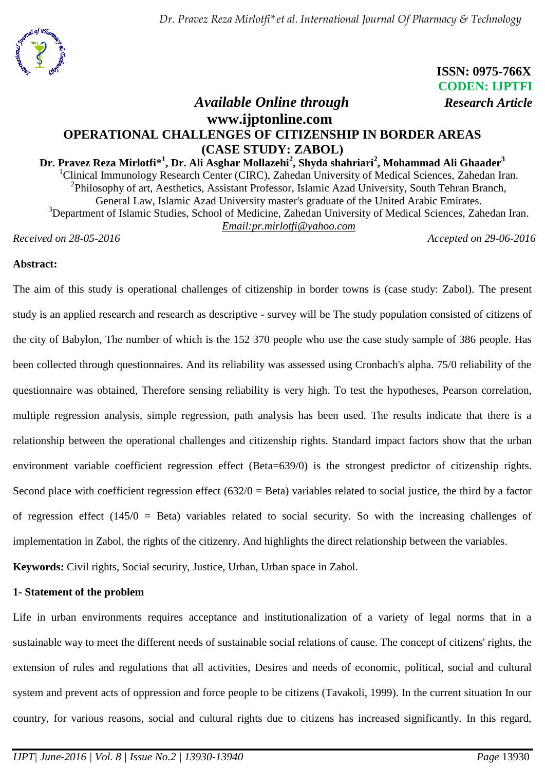

# **ISSN: 0975-766X CODEN: IJPTFI**

## *Available Online through Research Article* **www.ijptonline.com OPERATIONAL CHALLENGES OF CITIZENSHIP IN BORDER AREAS (CASE STUDY: ZABOL)**

## $\mathbf{D}$ r. Pravez Reza Mirlotfi\*<sup>1</sup>, Dr. Ali Asghar Mollazehi<sup>2</sup>, Shyda shahriari<sup>2</sup>, Mohammad Ali Ghaader $^3$ <sup>1</sup>Clinical Immunology Research Center (CIRC), Zahedan University of Medical Sciences, Zahedan Iran. <sup>2</sup>Philosophy of art, Aesthetics, Assistant Professor, Islamic Azad University, South Tehran Branch, General Law, Islamic Azad University master's graduate of the United Arabic Emirates. <sup>3</sup>Department of Islamic Studies, School of Medicine, Zahedan University of Medical Sciences, Zahedan Iran. *Email:pr.mirlotfi@yahoo.com*

*Received on 28-05-2016 Accepted on 29-06-2016* 

## **Abstract:**

The aim of this study is operational challenges of citizenship in border towns is (case study: Zabol). The present study is an applied research and research as descriptive - survey will be The study population consisted of citizens of the city of Babylon, The number of which is the 152 370 people who use the case study sample of 386 people. Has been collected through questionnaires. And its reliability was assessed using Cronbach's alpha. 75/0 reliability of the questionnaire was obtained, Therefore sensing reliability is very high. To test the hypotheses, Pearson correlation, multiple regression analysis, simple regression, path analysis has been used. The results indicate that there is a relationship between the operational challenges and citizenship rights. Standard impact factors show that the urban environment variable coefficient regression effect (Beta=639/0) is the strongest predictor of citizenship rights. Second place with coefficient regression effect  $(632/0 = Beta)$  variables related to social justice, the third by a factor of regression effect (145/0 = Beta) variables related to social security. So with the increasing challenges of implementation in Zabol, the rights of the citizenry. And highlights the direct relationship between the variables. **Keywords:** Civil rights, Social security, Justice, Urban, Urban space in Zabol.

## **1- Statement of the problem**

Life in urban environments requires acceptance and institutionalization of a variety of legal norms that in a sustainable way to meet the different needs of sustainable social relations of cause. The concept of citizens' rights, the extension of rules and regulations that all activities, Desires and needs of economic, political, social and cultural system and prevent acts of oppression and force people to be citizens (Tavakoli, 1999). In the current situation In our country, for various reasons, social and cultural rights due to citizens has increased significantly. In this regard,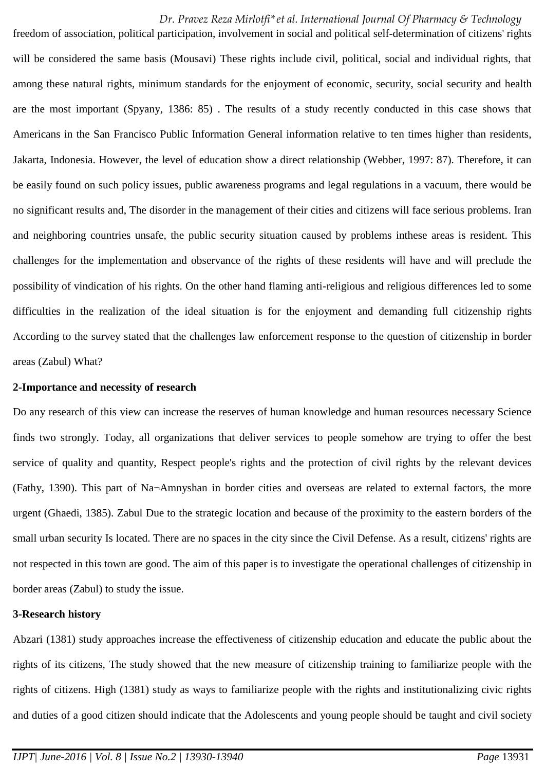freedom of association, political participation, involvement in social and political self-determination of citizens' rights will be considered the same basis (Mousavi) These rights include civil, political, social and individual rights, that among these natural rights, minimum standards for the enjoyment of economic, security, social security and health are the most important (Spyany, 1386: 85) . The results of a study recently conducted in this case shows that Americans in the San Francisco Public Information General information relative to ten times higher than residents, Jakarta, Indonesia. However, the level of education show a direct relationship (Webber, 1997: 87). Therefore, it can be easily found on such policy issues, public awareness programs and legal regulations in a vacuum, there would be no significant results and, The disorder in the management of their cities and citizens will face serious problems. Iran and neighboring countries unsafe, the public security situation caused by problems inthese areas is resident. This challenges for the implementation and observance of the rights of these residents will have and will preclude the possibility of vindication of his rights. On the other hand flaming anti-religious and religious differences led to some difficulties in the realization of the ideal situation is for the enjoyment and demanding full citizenship rights According to the survey stated that the challenges law enforcement response to the question of citizenship in border areas (Zabul) What?

#### **2-Importance and necessity of research**

Do any research of this view can increase the reserves of human knowledge and human resources necessary Science finds two strongly. Today, all organizations that deliver services to people somehow are trying to offer the best service of quality and quantity, Respect people's rights and the protection of civil rights by the relevant devices (Fathy, 1390). This part of Na¬Amnyshan in border cities and overseas are related to external factors, the more urgent (Ghaedi, 1385). Zabul Due to the strategic location and because of the proximity to the eastern borders of the small urban security Is located. There are no spaces in the city since the Civil Defense. As a result, citizens' rights are not respected in this town are good. The aim of this paper is to investigate the operational challenges of citizenship in border areas (Zabul) to study the issue.

#### **3-Research history**

Abzari (1381) study approaches increase the effectiveness of citizenship education and educate the public about the rights of its citizens, The study showed that the new measure of citizenship training to familiarize people with the rights of citizens. High (1381) study as ways to familiarize people with the rights and institutionalizing civic rights and duties of a good citizen should indicate that the Adolescents and young people should be taught and civil society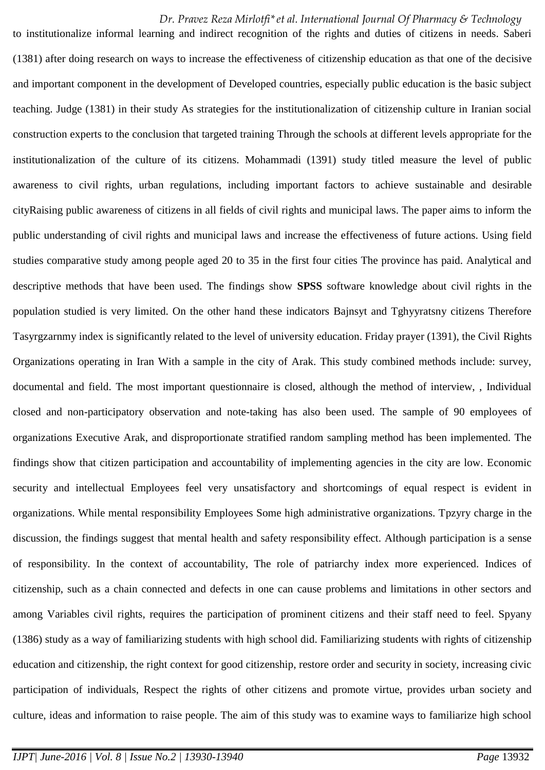to institutionalize informal learning and indirect recognition of the rights and duties of citizens in needs. Saberi (1381) after doing research on ways to increase the effectiveness of citizenship education as that one of the decisive and important component in the development of Developed countries, especially public education is the basic subject teaching. Judge (1381) in their study As strategies for the institutionalization of citizenship culture in Iranian social construction experts to the conclusion that targeted training Through the schools at different levels appropriate for the institutionalization of the culture of its citizens. Mohammadi (1391) study titled measure the level of public awareness to civil rights, urban regulations, including important factors to achieve sustainable and desirable cityRaising public awareness of citizens in all fields of civil rights and municipal laws. The paper aims to inform the public understanding of civil rights and municipal laws and increase the effectiveness of future actions. Using field studies comparative study among people aged 20 to 35 in the first four cities The province has paid. Analytical and descriptive methods that have been used. The findings show **SPSS** software knowledge about civil rights in the population studied is very limited. On the other hand these indicators Bajnsyt and Tghyyratsny citizens Therefore Tasyrgzarnmy index is significantly related to the level of university education. Friday prayer (1391), the Civil Rights Organizations operating in Iran With a sample in the city of Arak. This study combined methods include: survey, documental and field. The most important questionnaire is closed, although the method of interview, , Individual closed and non-participatory observation and note-taking has also been used. The sample of 90 employees of organizations Executive Arak, and disproportionate stratified random sampling method has been implemented. The findings show that citizen participation and accountability of implementing agencies in the city are low. Economic security and intellectual Employees feel very unsatisfactory and shortcomings of equal respect is evident in organizations. While mental responsibility Employees Some high administrative organizations. Tpzyry charge in the discussion, the findings suggest that mental health and safety responsibility effect. Although participation is a sense of responsibility. In the context of accountability, The role of patriarchy index more experienced. Indices of citizenship, such as a chain connected and defects in one can cause problems and limitations in other sectors and among Variables civil rights, requires the participation of prominent citizens and their staff need to feel. Spyany (1386) study as a way of familiarizing students with high school did. Familiarizing students with rights of citizenship education and citizenship, the right context for good citizenship, restore order and security in society, increasing civic participation of individuals, Respect the rights of other citizens and promote virtue, provides urban society and culture, ideas and information to raise people. The aim of this study was to examine ways to familiarize high school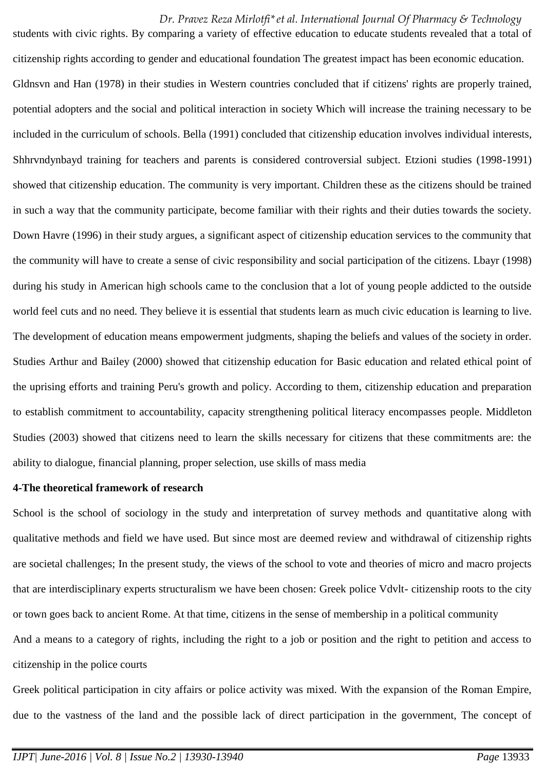students with civic rights. By comparing a variety of effective education to educate students revealed that a total of citizenship rights according to gender and educational foundation The greatest impact has been economic education. Gldnsvn and Han (1978) in their studies in Western countries concluded that if citizens' rights are properly trained, potential adopters and the social and political interaction in society Which will increase the training necessary to be included in the curriculum of schools. Bella (1991) concluded that citizenship education involves individual interests, Shhrvndynbayd training for teachers and parents is considered controversial subject. Etzioni studies (1998-1991) showed that citizenship education. The community is very important. Children these as the citizens should be trained in such a way that the community participate, become familiar with their rights and their duties towards the society. Down Havre (1996) in their study argues, a significant aspect of citizenship education services to the community that the community will have to create a sense of civic responsibility and social participation of the citizens. Lbayr (1998) during his study in American high schools came to the conclusion that a lot of young people addicted to the outside world feel cuts and no need. They believe it is essential that students learn as much civic education is learning to live. The development of education means empowerment judgments, shaping the beliefs and values of the society in order. Studies Arthur and Bailey (2000) showed that citizenship education for Basic education and related ethical point of the uprising efforts and training Peru's growth and policy. According to them, citizenship education and preparation to establish commitment to accountability, capacity strengthening political literacy encompasses people. Middleton Studies (2003) showed that citizens need to learn the skills necessary for citizens that these commitments are: the ability to dialogue, financial planning, proper selection, use skills of mass media

#### **4-The theoretical framework of research**

School is the school of sociology in the study and interpretation of survey methods and quantitative along with qualitative methods and field we have used. But since most are deemed review and withdrawal of citizenship rights are societal challenges; In the present study, the views of the school to vote and theories of micro and macro projects that are interdisciplinary experts structuralism we have been chosen: Greek police Vdvlt- citizenship roots to the city or town goes back to ancient Rome. At that time, citizens in the sense of membership in a political community And a means to a category of rights, including the right to a job or position and the right to petition and access to citizenship in the police courts

Greek political participation in city affairs or police activity was mixed. With the expansion of the Roman Empire, due to the vastness of the land and the possible lack of direct participation in the government, The concept of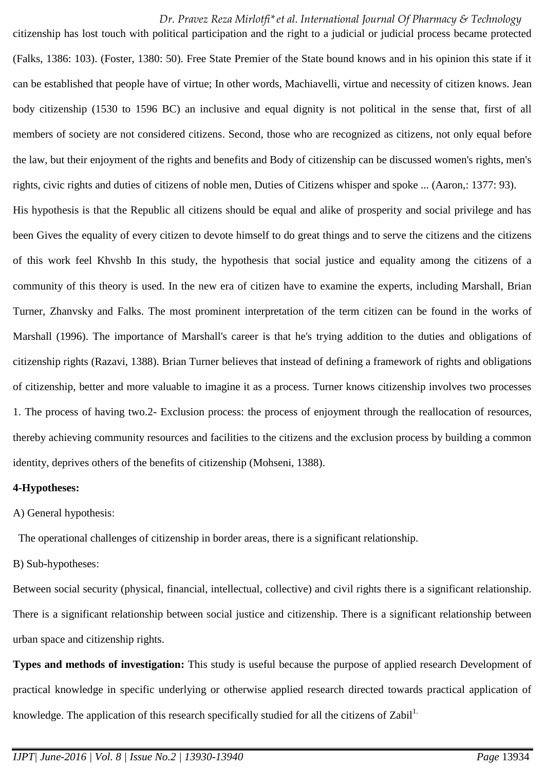citizenship has lost touch with political participation and the right to a judicial or judicial process became protected (Falks, 1386: 103). (Foster, 1380: 50). Free State Premier of the State bound knows and in his opinion this state if it can be established that people have of virtue; In other words, Machiavelli, virtue and necessity of citizen knows. Jean body citizenship (1530 to 1596 BC) an inclusive and equal dignity is not political in the sense that, first of all members of society are not considered citizens. Second, those who are recognized as citizens, not only equal before the law, but their enjoyment of the rights and benefits and Body of citizenship can be discussed women's rights, men's rights, civic rights and duties of citizens of noble men, Duties of Citizens whisper and spoke ... (Aaron,: 1377: 93). His hypothesis is that the Republic all citizens should be equal and alike of prosperity and social privilege and has been Gives the equality of every citizen to devote himself to do great things and to serve the citizens and the citizens of this work feel Khvshb In this study, the hypothesis that social justice and equality among the citizens of a community of this theory is used. In the new era of citizen have to examine the experts, including Marshall, Brian Turner, Zhanvsky and Falks. The most prominent interpretation of the term citizen can be found in the works of Marshall (1996). The importance of Marshall's career is that he's trying addition to the duties and obligations of citizenship rights (Razavi, 1388). Brian Turner believes that instead of defining a framework of rights and obligations of citizenship, better and more valuable to imagine it as a process. Turner knows citizenship involves two processes 1. The process of having two.2- Exclusion process: the process of enjoyment through the reallocation of resources, thereby achieving community resources and facilities to the citizens and the exclusion process by building a common identity, deprives others of the benefits of citizenship (Mohseni, 1388).

#### **4-Hypotheses:**

## A) General hypothesis:

The operational challenges of citizenship in border areas, there is a significant relationship.

B) Sub-hypotheses:

Between social security (physical, financial, intellectual, collective) and civil rights there is a significant relationship. There is a significant relationship between social justice and citizenship. There is a significant relationship between urban space and citizenship rights.

**Types and methods of investigation:** This study is useful because the purpose of applied research Development of practical knowledge in specific underlying or otherwise applied research directed towards practical application of knowledge. The application of this research specifically studied for all the citizens of Zabil<sup>1.</sup>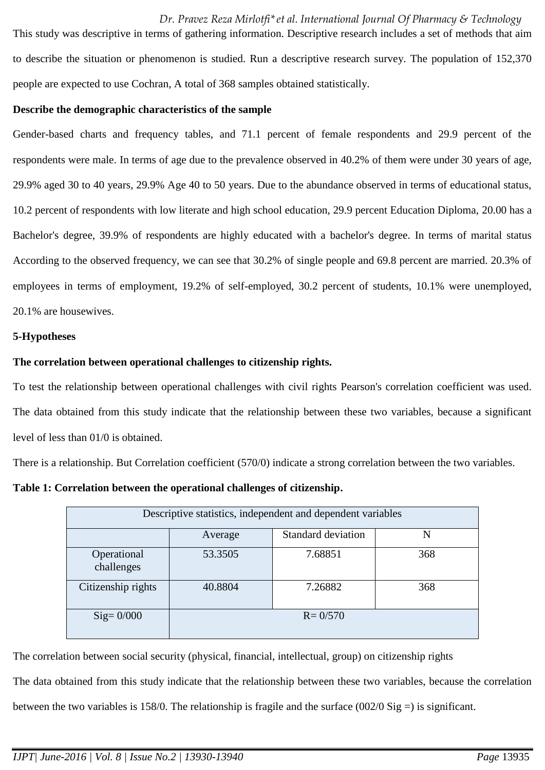This study was descriptive in terms of gathering information. Descriptive research includes a set of methods that aim to describe the situation or phenomenon is studied. Run a descriptive research survey. The population of 152,370 people are expected to use Cochran, A total of 368 samples obtained statistically.

#### **Describe the demographic characteristics of the sample**

Gender-based charts and frequency tables, and 71.1 percent of female respondents and 29.9 percent of the respondents were male. In terms of age due to the prevalence observed in 40.2% of them were under 30 years of age, 29.9% aged 30 to 40 years, 29.9% Age 40 to 50 years. Due to the abundance observed in terms of educational status, 10.2 percent of respondents with low literate and high school education, 29.9 percent Education Diploma, 20.00 has a Bachelor's degree, 39.9% of respondents are highly educated with a bachelor's degree. In terms of marital status According to the observed frequency, we can see that 30.2% of single people and 69.8 percent are married. 20.3% of employees in terms of employment, 19.2% of self-employed, 30.2 percent of students, 10.1% were unemployed, 20.1% are housewives.

#### **5-Hypotheses**

## **The correlation between operational challenges to citizenship rights.**

To test the relationship between operational challenges with civil rights Pearson's correlation coefficient was used. The data obtained from this study indicate that the relationship between these two variables, because a significant level of less than 01/0 is obtained.

There is a relationship. But Correlation coefficient (570/0) indicate a strong correlation between the two variables.

**Table 1: Correlation between the operational challenges of citizenship.**

| Descriptive statistics, independent and dependent variables |         |                    |     |
|-------------------------------------------------------------|---------|--------------------|-----|
|                                                             | Average | Standard deviation | N   |
| Operational<br>challenges                                   | 53.3505 | 7.68851            | 368 |
| Citizenship rights                                          | 40.8804 | 7.26882            | 368 |
| $\text{Sig}=0/000$                                          |         | $R = 0/570$        |     |

The correlation between social security (physical, financial, intellectual, group) on citizenship rights

The data obtained from this study indicate that the relationship between these two variables, because the correlation

between the two variables is 158/0. The relationship is fragile and the surface  $(002/0 \text{ Sig} =)$  is significant.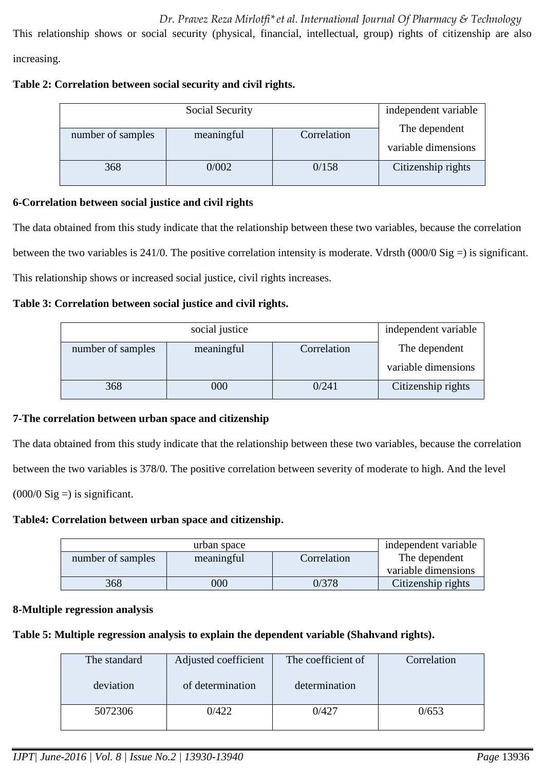This relationship shows or social security (physical, financial, intellectual, group) rights of citizenship are also

increasing.

## **Table 2: Correlation between social security and civil rights.**

| Social Security                 |       |             | independent variable                 |
|---------------------------------|-------|-------------|--------------------------------------|
| number of samples<br>meaningful |       | Correlation | The dependent<br>variable dimensions |
| 368                             | 0/002 | 0/158       | Citizenship rights                   |

## **6-Correlation between social justice and civil rights**

The data obtained from this study indicate that the relationship between these two variables, because the correlation between the two variables is 241/0. The positive correlation intensity is moderate. Vdrsth  $(000/0 \text{ Sig} = )$  is significant. This relationship shows or increased social justice, civil rights increases.

## **Table 3: Correlation between social justice and civil rights.**

| social justice    |            |             | independent variable |
|-------------------|------------|-------------|----------------------|
| number of samples | meaningful | Correlation | The dependent        |
|                   |            |             | variable dimensions  |
| 368               | 000        | 0/241       | Citizenship rights   |

## **7-The correlation between urban space and citizenship**

The data obtained from this study indicate that the relationship between these two variables, because the correlation between the two variables is 378/0. The positive correlation between severity of moderate to high. And the level  $(000/0$  Sig = is significant.

## **Table4: Correlation between urban space and citizenship.**

| urban space       |            |             | independent variable |
|-------------------|------------|-------------|----------------------|
| number of samples | meaningful | Correlation | The dependent        |
|                   |            |             | variable dimensions  |
| 368               | 000        | 0/378       | Citizenship rights   |

## **8-Multiple regression analysis**

## **Table 5: Multiple regression analysis to explain the dependent variable (Shahvand rights).**

| The standard | Adjusted coefficient | The coefficient of | Correlation |
|--------------|----------------------|--------------------|-------------|
| deviation    | of determination     | determination      |             |
| 5072306      | 0/422                |                    | 0/653       |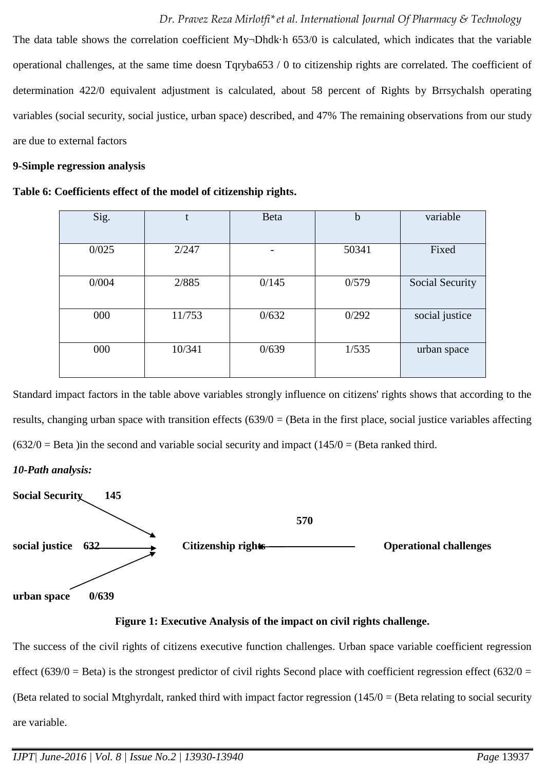The data table shows the correlation coefficient My¬Dhdk⋅h 653/0 is calculated, which indicates that the variable operational challenges, at the same time doesn Tqryba653 / 0 to citizenship rights are correlated. The coefficient of determination 422/0 equivalent adjustment is calculated, about 58 percent of Rights by Brrsychalsh operating variables (social security, social justice, urban space) described, and 47% The remaining observations from our study are due to external factors

## **9-Simple regression analysis**

**Table 6: Coefficients effect of the model of citizenship rights.**

| Sig.  | t      | <b>Beta</b> | $\mathbf b$ | variable               |
|-------|--------|-------------|-------------|------------------------|
| 0/025 | 2/247  | -           | 50341       | Fixed                  |
| 0/004 | 2/885  | 0/145       | 0/579       | <b>Social Security</b> |
| 000   | 11/753 | 0/632       | 0/292       | social justice         |
| 000   | 10/341 | 0/639       | 1/535       | urban space            |

Standard impact factors in the table above variables strongly influence on citizens' rights shows that according to the results, changing urban space with transition effects  $(639/0)$  = (Beta in the first place, social justice variables affecting  $(632/0 = Beta)$  in the second and variable social security and impact  $(145/0 = (Beta)$  ranked third.

## *10-Path analysis:*



## **Figure 1: Executive Analysis of the impact on civil rights challenge.**

The success of the civil rights of citizens executive function challenges. Urban space variable coefficient regression effect (639/0 = Beta) is the strongest predictor of civil rights Second place with coefficient regression effect (632/0 = (Beta related to social Mtghyrdalt, ranked third with impact factor regression  $(145/0)$  = (Beta relating to social security are variable.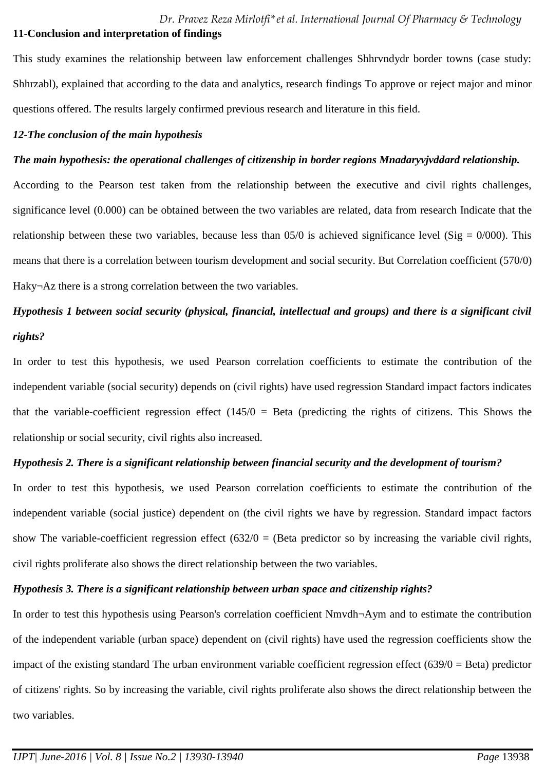This study examines the relationship between law enforcement challenges Shhrvndydr border towns (case study: Shhrzabl), explained that according to the data and analytics, research findings To approve or reject major and minor questions offered. The results largely confirmed previous research and literature in this field.

## *12-The conclusion of the main hypothesis*

## *The main hypothesis: the operational challenges of citizenship in border regions Mnadaryvjvddard relationship.*

According to the Pearson test taken from the relationship between the executive and civil rights challenges, significance level (0.000) can be obtained between the two variables are related, data from research Indicate that the relationship between these two variables, because less than  $05/0$  is achieved significance level (Sig = 0/000). This means that there is a correlation between tourism development and social security. But Correlation coefficient (570/0) Haky¬Az there is a strong correlation between the two variables.

## *Hypothesis 1 between social security (physical, financial, intellectual and groups) and there is a significant civil rights?*

In order to test this hypothesis, we used Pearson correlation coefficients to estimate the contribution of the independent variable (social security) depends on (civil rights) have used regression Standard impact factors indicates that the variable-coefficient regression effect  $(145/0)$  = Beta (predicting the rights of citizens. This Shows the relationship or social security, civil rights also increased.

## *Hypothesis 2. There is a significant relationship between financial security and the development of tourism?*

In order to test this hypothesis, we used Pearson correlation coefficients to estimate the contribution of the independent variable (social justice) dependent on (the civil rights we have by regression. Standard impact factors show The variable-coefficient regression effect  $(632/0)$  = (Beta predictor so by increasing the variable civil rights, civil rights proliferate also shows the direct relationship between the two variables.

## *Hypothesis 3. There is a significant relationship between urban space and citizenship rights?*

In order to test this hypothesis using Pearson's correlation coefficient Nmvdh¬Aym and to estimate the contribution of the independent variable (urban space) dependent on (civil rights) have used the regression coefficients show the impact of the existing standard The urban environment variable coefficient regression effect (639/0 = Beta) predictor of citizens' rights. So by increasing the variable, civil rights proliferate also shows the direct relationship between the two variables.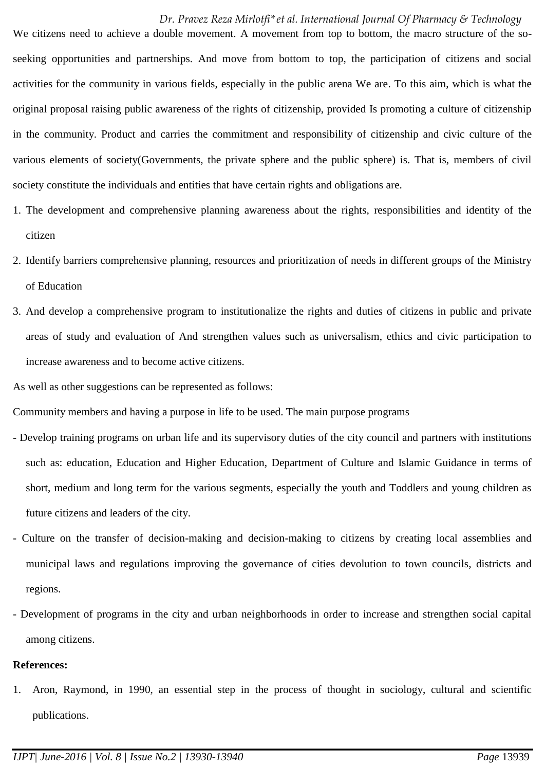We citizens need to achieve a double movement. A movement from top to bottom, the macro structure of the soseeking opportunities and partnerships. And move from bottom to top, the participation of citizens and social activities for the community in various fields, especially in the public arena We are. To this aim, which is what the original proposal raising public awareness of the rights of citizenship, provided Is promoting a culture of citizenship in the community. Product and carries the commitment and responsibility of citizenship and civic culture of the various elements of society(Governments, the private sphere and the public sphere) is. That is, members of civil society constitute the individuals and entities that have certain rights and obligations are.

- 1. The development and comprehensive planning awareness about the rights, responsibilities and identity of the citizen
- 2. Identify barriers comprehensive planning, resources and prioritization of needs in different groups of the Ministry of Education
- 3. And develop a comprehensive program to institutionalize the rights and duties of citizens in public and private areas of study and evaluation of And strengthen values such as universalism, ethics and civic participation to increase awareness and to become active citizens.

As well as other suggestions can be represented as follows:

Community members and having a purpose in life to be used. The main purpose programs

- Develop training programs on urban life and its supervisory duties of the city council and partners with institutions such as: education, Education and Higher Education, Department of Culture and Islamic Guidance in terms of short, medium and long term for the various segments, especially the youth and Toddlers and young children as future citizens and leaders of the city.
- Culture on the transfer of decision-making and decision-making to citizens by creating local assemblies and municipal laws and regulations improving the governance of cities devolution to town councils, districts and regions.
- Development of programs in the city and urban neighborhoods in order to increase and strengthen social capital among citizens.

## **References:**

1. Aron, Raymond, in 1990, an essential step in the process of thought in sociology, cultural and scientific publications.